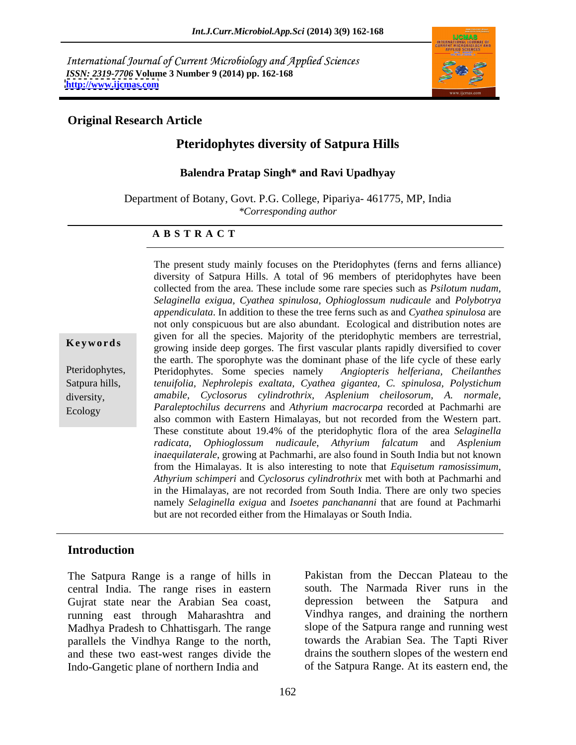International Journal of Current Microbiology and Applied Sciences *ISSN: 2319-7706* **Volume 3 Number 9 (2014) pp. 162-168 <http://www.ijcmas.com>**



## **Original Research Article**

# **Pteridophytes diversity of Satpura Hills**

## **Balendra Pratap Singh\* and Ravi Upadhyay**

Department of Botany, Govt. P.G. College, Pipariya- 461775, MP, India *\*Corresponding author* 

### **A B S T R A C T**

**Keywords** growing inside deep gorges. The first vascular plants rapidly diversified to cover Pteridophytes, Pteridophytes. Some species namely *Angiopteris helferiana, Cheilanthes* Satpura hills, *tenuifolia, Nephrolepis exaltata, Cyathea gigantea, C. spinulosa, Polystichum* diversity, *amabile, Cyclosorus cylindrothrix, Asplenium cheilosorum, A. normale,* Ecology *Paraleptochilus decurrens* and *Athyrium macrocarpa* recorded at Pachmarhi are diversity of Satpura Hills. A total of 96 members of pteridophytes have been collected from the area. These include some rare species such as *Psilotum nudam, Selaginella exigua, Cyathea spinulosa, Ophioglossum nudicaule* and *Polybotrya appendiculata*. In addition to these the tree ferns such as and *Cyathea spinulosa* are not only conspicuous but are also abundant. Ecological and distribution notes are given for all the species. Majority of the pteridophytic members are terrestrial, the earth. The sporophyte was the dominant phase of the life cycle of these early also common with Eastern Himalayas, but not recorded from the Western part. These constitute about 19.4% of the pteridophytic flora of the area *Selaginella radicata*, *Ophioglossum nudicaule*, *Athyrium falcatum* and *Asplenium inaequilaterale*, growing at Pachmarhi, are also found in South India but not known from the Himalayas. It is also interesting to note that *Equisetum ramosissimum*, *Athyrium schimperi* and *Cyclosorus cylindrothrix*met with both at Pachmarhi and in the Himalayas, are not recorded from South India. There are only two species namely *Selaginella exigua* and *Isoetes panchananni* that are found at Pachmarhi but are not recorded either from the Himalayas or South India.

The present study mainly focuses on the Pteridophytes (ferns and ferns alliance)

## **Introduction**

The Satpura Range is a range of hills in central India. The range rises in eastern Gujrat state near the Arabian Sea coast, depression between the Satpura and running east through Maharashtra and Madhya Pradesh to Chhattisgarh. The range parallels the Vindhya Range to the north, and these two east-west ranges divide the Indo-Gangetic plane of northern India and

Pakistan from the Deccan Plateau to the south. The Narmada River runs in the depression between the Satpura and Vindhya ranges, and draining the northern slope of the Satpura range and running west towards the Arabian Sea. The Tapti River drains the southern slopes of the western end of the Satpura Range. At its eastern end, the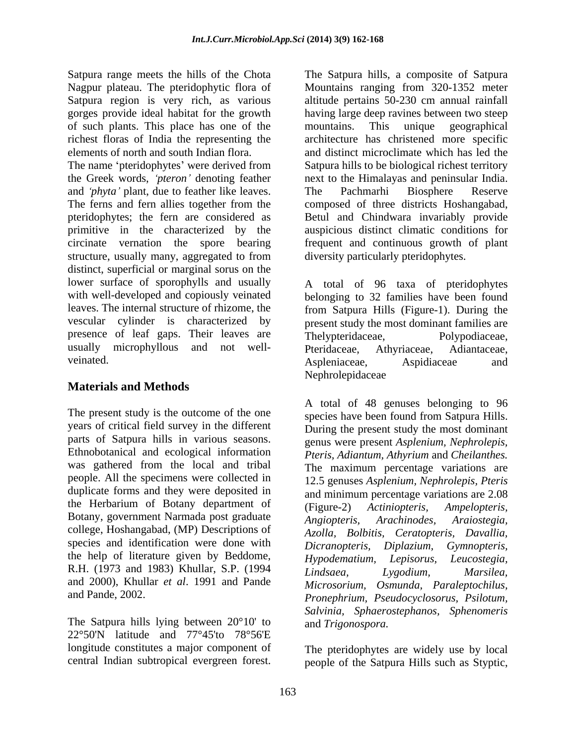Satpura range meets the hills of the Chota The Satpura hills, a composite of Satpura of such plants. This place has one of the

The name 'pteridophytes' were derived from Satpura hills to be biological richest territory the Greek words, 'pteron' denoting feather and *phyta* plant, due to feather like leaves. The Pachmarhi Biosphere Reserve The ferns and fern allies together from the composed of three districts Hoshangabad, pteridophytes; the fern are considered as Betul and Chindwara invariably provide primitive in the characterized by the auspicious distinct climatic conditions for circinate vernation the spore bearing frequent and continuous growth of plant structure, usually many, aggregated to from distinct, superficial or marginal sorus on the lower surface of sporophylls and usually A total of 96 taxa of pteridophytes with well-developed and copiously veinated belonging to 32 families have been found leaves. The internal structure of rhizome, the from Satpura Hills (Figure-1). During the vescular cylinder is characterized by present study the most dominant families are presence of leaf gaps. Their leaves are Thelypteridaceae, Polypodiaceae, usually microphyllous and not well-

# **Materials and Methods**

The present study is the outcome of the one years of critical field survey in the different parts of Satpura hills in various seasons. Ethnobotanical and ecological information was gathered from the local and tribal people. All the specimens were collected in duplicate forms and they were deposited in the Herbarium of Botany department of (Figure-2) Actiniopteris, Ampelopteris, Botany, government Narmada post graduate *Angiopteris*, *Arachinodes*, *Arachinodes*, *Arachinodes*, *Arachinodes*, *Arachinodes*, *Arachinodes*, *Arachinodes*, *Arachinodes*, *Arachinodes*, *Arachinodes*, *Arachinodes*, college, Hoshangabad, (MP) Descriptions of species and identification were done with *Dicranopteris*, *Diplazium*, *Gymnopteris*, the help of literature given by Beddome, Hypodematium, Lepisorus, Leucostegia, R.H. (1973 and 1983) Khullar, S.P. (1994 *Lindsaea*, *Lygodium*, *Marsilea*, and 2000), Khullar *et al*. 1991 and Pande *Microsorium, Osmunda, Paraleptochilus,*

The Satpura hills lying between 20°10' to 22°50'N latitude and 77°45'to 78°56'E longitude constitutes a major component of The pteridophytes are widely use by local

Nagpur plateau. The pteridophytic flora of Mountains ranging from 320-1352 meter Satpura region is very rich, as various altitude pertains 50-230 cm annual rainfall gorges provide ideal habitat for the growth having large deep ravines between two steep richest floras of India the representing the architecture has christened more specific elements of north and south Indian flora. and distinct microclimate which has led the mountains. This unique geographical next to the Himalayas and peninsular India. The Pachmarhi Biosphere Reserve diversity particularly pteridophytes.

veinated. Aspleniaceae, Aspleniaceae, Aspidiaceae and Thelypteridaceae, Pteridaceae, Athyriaceae, Adiantaceae, Aspleniaceae, Aspidiaceae and Nephrolepidaceae and the state of the state of the state of the state of the state of the state of the state of the state of the state of the state of the state of the state of the state of the state of the state of the st

and Pande, 2002. *Pronephrium, Pseudocyclosorus, Psilotum,* Saturar range measons the link of the Choin and the Choin and the Choin and the Choin and the Choin and the Choin and the Choin and the Choin and the Saturn region is very rich, as vertex a dialote percentric elements of A total of 48 genuses belonging to 96 species have been found from Satpura Hills. During the present study the most dominant genus were present *Asplenium, Nephrolepis, Pteris, Adiantum, Athyrium* and *Cheilanthes.*  The maximum percentage variations are 12.5 genuses *Asplenium, Nephrolepis, Pteris* and minimum percentage variations are 2.08 (Figure-2) *Actiniopteris, Ampelopteris, Angiopteris, Arachinodes, Araiostegia, Azolla, Bolbitis, Ceratopteris, Davallia, Dicranopteris, Diplazium, Gymnopteris, Hypodematium, Lepisorus, Leucostegia, Lindsaea, Lygodium, Marsilea, Salvinia, Sphaerostephanos, Sphenomeris*  and *Trigonospora.*

people of the Satpura Hills such as Styptic,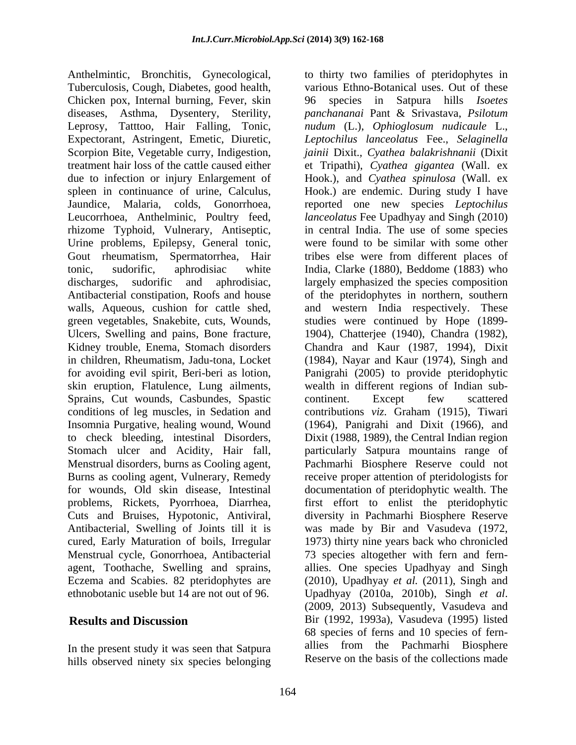Anthelmintic, Bronchitis, Gynecological, to thirty two families of pteridophytes in Tuberculosis, Cough, Diabetes, good health, Chicken pox, Internal burning, Fever, skin 96 species in Satpura hills *Isoetes* diseases, Asthma, Dysentery, Sterility, *panchananai* Pant & Srivastava, *Psilotum*  Leprosy, Tatttoo, Hair Falling, Tonic, *nudum* (L.), *Ophioglosum nudicaule* L., Expectorant, Astringent, Emetic, Diuretic, *Leptochilus lanceolatus* Fee., *Selaginella*  Scorpion Bite, Vegetable curry, Indigestion, *jainii* Dixit.*, Cyathea balakrishnanii* (Dixit treatment hair loss of the cattle caused either et Tripathi), *Cyathea gigantea* (Wall. ex due to infection or injury Enlargement of Hook.), and *Cyathea spinulosa* (Wall. ex spleen in continuance of urine, Calculus, Hook.) are endemic. During study I have Jaundice, Malaria, colds, Gonorrhoea, reported one new species *Leptochilus*  Leucorrhoea, Anthelminic, Poultry feed, *lanceolatus* Fee Upadhyay and Singh (2010) rhizome Typhoid, Vulnerary, Antiseptic, Urine problems, Epilepsy, General tonic, Gout rheumatism, Spermatorrhea, Hair tonic, sudorific, aphrodisiac white India, Clarke (1880), Beddome (1883) who discharges, sudorific and aphrodisiac, largely emphasized the species composition Antibacterial constipation, Roofs and house of the pteridophytes in northern, southern walls, Aqueous, cushion for cattle shed, and western India respectively. These green vegetables, Snakebite, cuts, Wounds, studies were continued by Hope (1899- Ulcers, Swelling and pains, Bone fracture, 1904), Chatterjee (1940), Chandra (1982), Kidney trouble, Enema, Stomach disorders Chandra and Kaur (1987, 1994), Dixit in children, Rheumatism, Jadu-tona, Locket (1984), Nayar and Kaur (1974), Singh and for avoiding evil spirit, Beri-beri as lotion, Panigrahi (2005) to provide pteridophytic skin eruption, Flatulence, Lung ailments, wealth in different regions of Indian sub- Sprains, Cut wounds, Casbundes, Spastic conditions of leg muscles, in Sedation and contributions *viz*. Graham (1915), Tiwari Insomnia Purgative, healing wound, Wound (1964), Panigrahi and Dixit (1966), and to check bleeding, intestinal Disorders, Stomach ulcer and Acidity, Hair fall, particularly Satpura mountains range of Menstrual disorders, burns as Cooling agent, Pachmarhi Biosphere Reserve could not Burns as cooling agent, Vulnerary, Remedy receive proper attention of pteridologists for for wounds, Old skin disease, Intestinal documentation of pteridophytic wealth. The problems, Rickets, Pyorrhoea, Diarrhea, first effort to enlist the pteridophytic Cuts and Bruises, Hypotonic, Antiviral, diversity in Pachmarhi Biosphere Reserve Antibacterial, Swelling of Joints till it is was made by Bir and Vasudeva (1972, cured, Early Maturation of boils, Irregular 1973) thirty nine years back who chronicled Menstrual cycle, Gonorrhoea, Antibacterial 73 species altogether with fern and fern agent, Toothache, Swelling and sprains, allies. One species Upadhyay and Singh Eczema and Scabies. 82 pteridophytes are (2010), Upadhyay *et al.* (2011), Singh and

In the present study it was seen that Satpura hills observed ninety six species belonging

ethnobotanic useble but 14 are not out of 96. Upadhyay (2010a, 2010b), Singh et al.<br>(2009, 2013) Subsequently, Vasudeva and **Results and Discussion** Bir (1992, 1993a), Vasudeva (1995) listed various Ethno-Botanical uses. Out of these 96 species in Satpura hills *Isoetes*  in central India. The use of some species were found to be similar with some other tribes else were from different places of continent. Except few scattered Dixit (1988, 1989), the Central Indian region Upadhyay (2010a, 2010b), Singh *et al*. (2009, 2013) Subsequently, Vasudeva and 68 species of ferns and 10 species of fern allies from the Pachmarhi Biosphere Reserve on the basis of the collections made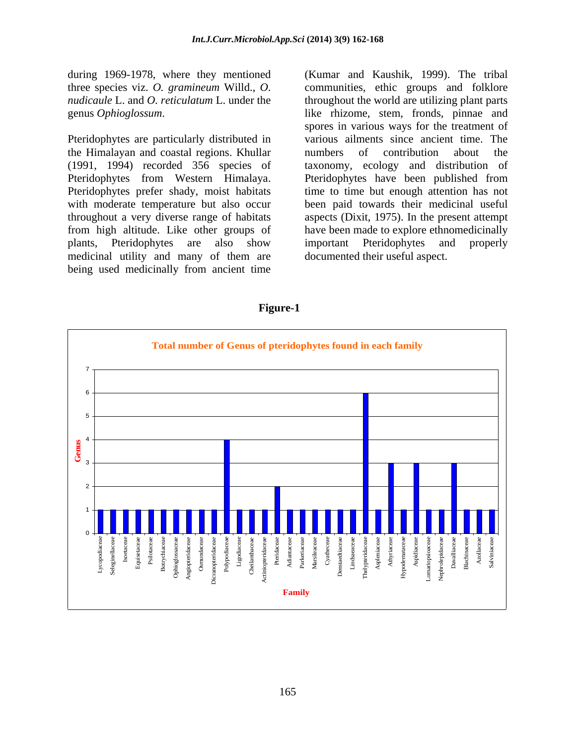during 1969-1978, where they mentioned

Pteridophytes are particularly distributed in the Himalayan and coastal regions. Khullar Pteridophytes from Western Himalaya. medicinal utility and many of them are being used medicinally from ancient time

three species viz. *O. gramineum* Willd., *O*. communities, ethic groups and folklore *nudicaule* L. and *O. reticulatum* L. under the throughout the world are utilizing plant parts genus *Ophioglossum*. like rhizome, stem, fronds, pinnae and (1991, 1994) recorded 356 species of taxonomy, ecology and distribution of Pteridophytes prefer shady, moist habitats time to time but enough attention has not with moderate temperature but also occur been paid towards their medicinal useful throughout a very diverse range of habitats aspects (Dixit, 1975). In the present attempt from high altitude. Like other groups of have been made to explore ethnomedicinally plants, Pteridophytes are also show (Kumar and Kaushik, 1999). The tribal spores in various ways for the treatment of various ailments since ancient time. The numbers of contribution about the Pteridophytes have been published from important Pteridophytes and properly documented their useful aspect.



### **Figure-1**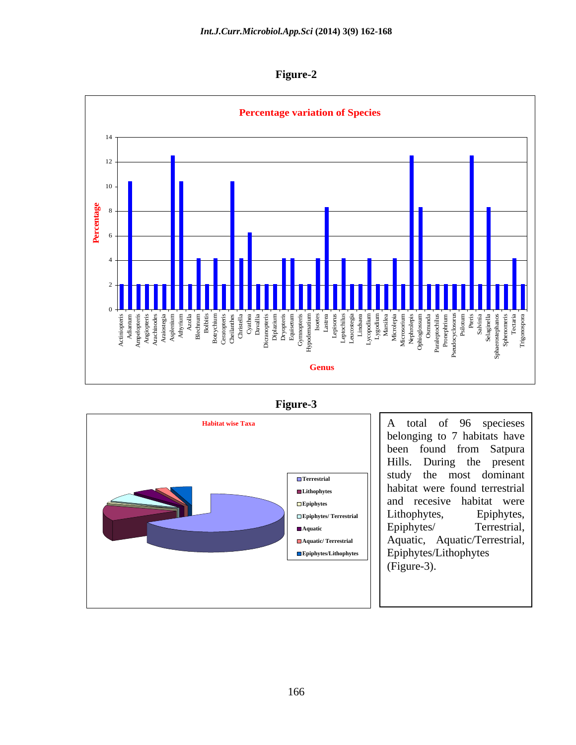**Figure-2**



**Figure-3**



Terrestrial study the most dominant Lithophytes **habitat** were found terrestrial **Epiphytes** and recesive habitat were **Epiphytes/ Terrestrial** Aquatic  $||$  **Epiphyles Refressmal**, 1 **Aquatic/ Terrestrial** Aquatic, Aquatic/Terrestrial, **Epiphytes/Lithophytes** Epiphytes/Lithophytes A total of 96 specieses belonging to 7 habitats have been found from Satpura Hills. During the present Lithophytes, Epiphytes, Epiphytes/ Terrestrial, (Figure-3).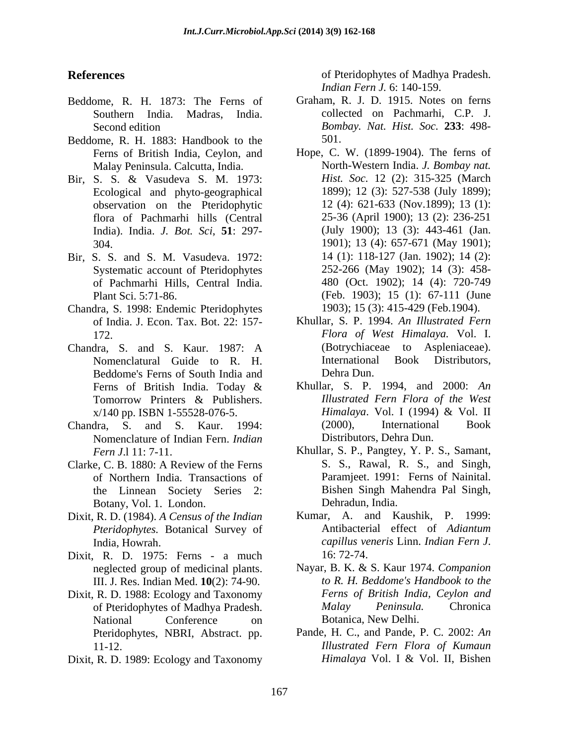- Beddome, R. H. 1873: The Ferns of Southern India. Madras, India.
- Beddome, R. H. 1883: Handbook to the 501. Malay Peninsula. Calcutta, India.
- Bir, S. S. & Vasudeva S. M. 1973: *Hist. Soc.* 12 (2): 315-325 (March Ecological and phyto-geographical observation on the Pteridophytic India). India. *J. Bot. Sci*, **51**: 297-
- Bir, S. S. and S. M. Vasudeva. 1972: Systematic account of Pteridophytes of Pachmarhi Hills, Central India.
- Chandra, S. 1998: Endemic Pteridophytes
- Chandra, S. and S. Kaur. 1987: A (Botrychiaceae to Aspleniaceae).<br>
Nomenclatural Guide to R H International Book Distributors. Nomenclatural Guide to R. H. Internationa<br>
Reddome's Ferns of South India and Dehra Dun. Beddome's Ferns of South India and
- Chandra, S. and S. Kaur. 1994: Nomenclature of Indian Fern. *Indian*
- of Northern India. Transactions of the Linnean Society Series 2: Botany, Vol. 1. London.
- Dixit, R. D. (1984). *A Census of the Indian Pteridophytes.* Botanical Survey of
- Dixit, R. D. 1975: Ferns a much neglected group of medicinal plants. III. J. Res. Indian Med. **10**(2): 74-90.
- Dixit, R. D. 1988: Ecology and Taxonomy National Conference on Botanica, New Delhi. Pteridophytes, NBRI, Abstract. pp.
- Dixit, R. D. 1989: Ecology and Taxonomy *Himalaya Vol. I & Vol. II, Bishen*

**References** of Pteridophytes of Madhya Pradesh. *Indian Fern J.* 6: 140-159.

- Second edition *Bombay. Nat. Hist. Soc.* **233**: 498- Graham, R. J. D. 1915. Notes on ferns collected on Pachmarhi, C.P. J. 501.
- Ferns of British India, Ceylon, and Hope, C. W. (1899-1904). The ferns of flora of Pachmarhi hills (Central 25-36 (April 1900); 13 (2): 236-251 304. 1901); 13 (4): 657-671 (May 1901); Plant Sci. 5:71-86. (Feb. 1903); 15 (1): 67-111 (June North-Western India. *J. Bombay nat. Hist. Soc.* 12 (2): 315-325 (March 1899); 12 (3): 527-538 (July 1899); 12 (4): 621-633 (Nov.1899); 13 (1): (July 1900); 13 (3): 443-461 (Jan. 14 (1): 118-127 (Jan. 1902); 14 (2): 252-266 (May 1902); 14 (3): 458- 480 (Oct. 1902); 14 (4): 720-749 1903); 15 (3): 415-429 (Feb.1904).
- of India. J. Econ. Tax. Bot. 22: 157- Khullar, S. P. 1994. *An Illustrated Fern* 172. *Flora of West Himalaya.* Vol. I. (Botrychiaceae to Aspleniaceae). International Book Distributors, Dehra Dun.
- Ferns of British India. Today  $\&$  Khullar, S. P. 1994, and 2000: An Tomorrow Printers & Publishers. *Illustrated Fern Flora of the West* x/140 pp. ISBN 1-55528-076-5.<br>
dra. S. and S. Kaur. 1994: (2000), International Book Khullar, S. P. 1994, and 2000: *An Illustrated Fern Flora of the West Himalaya*. Vol. I (1994) & Vol. II (2000), International Book Distributors, Dehra Dun.
- *Fern J*.l 11: 7-11. Khullar, S. P., Pangtey, Y. P. S., Samant, Clarke, C. B. 1880: A Review of the Ferns S. S., Rawal, R. S., and Singh, S. S., Rawal, R. S., and Singh, Paramjeet. 1991: Ferns of Nainital. Bishen Singh Mahendra Pal Singh, Dehradun, India.
	- India, Howrah.  $capillus$  veneris Linn. Indian Fern J. Kumar, A. and Kaushik, P. 1999: Antibacterial effect of *Adiantum capillus veneris* Linn. *Indian Fern <sup>J</sup>*. 16: 72-74.
	- of Pteridophytes of Madhya Pradesh. Malay Peninsula. Chronica Nayar, B. K. & S. Kaur 1974. *Companion to R. H. Beddome's Handbook to the Ferns of British India, Ceylon and Malay Peninsula.* Chronica Botanica, New Delhi.
	- 11-12. *Illustrated Fern Flora of Kumaun* Pande, H. C., and Pande, P. C. 2002: *An Himalaya* Vol. I & Vol. II, Bishen